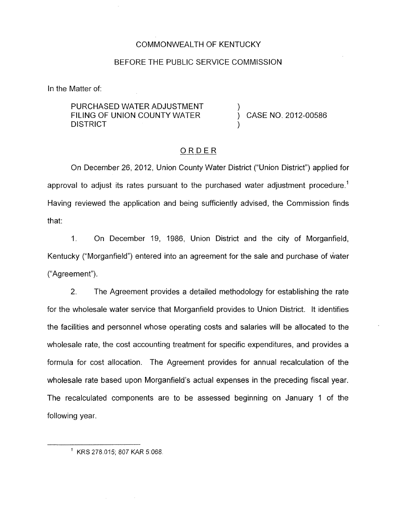#### COMMONWEALTH OF KENTUCKY

#### BEFORE THE PUBLIC SERVICE COMMISSION

In the Matter of:

PURCHASED WATER ADJUSTMENT **DISTRICT** FILING OF UNION COUNTY WATER  $\overrightarrow{)}$  CASE NO. 2012-00586

### ORDER

On December 26, 2012, Union County Water District ("Union District") applied for approval to adjust its rates pursuant to the purchased water adjustment procedure.<sup>1</sup> Having reviewed the application and being sufficiently advised, the Commission finds that:

1. On December 19, 1986, Union District and the city of Morganfield, Kentucky ("Morganfield") entered into an agreement for the sale and purchase of water ("Agreement").

2. The Agreement provides a detailed methodology for establishing the rate for the wholesale water service that Morganfield provides to Union District. It identifies the facilities and personnel whose operating costs and salaries will be allocated to the wholesale rate, the cost accounting treatment for specific expenditures, and provides a formula for cost allocation. The Agreement provides for annual recalculation of the wholesale rate based upon Morganfield's actual expenses in the preceding fiscal year. The recalculated components are to be assessed beginning on January 1 of the following year.

 $1$  KRS 278.015; 807 KAR 5:068.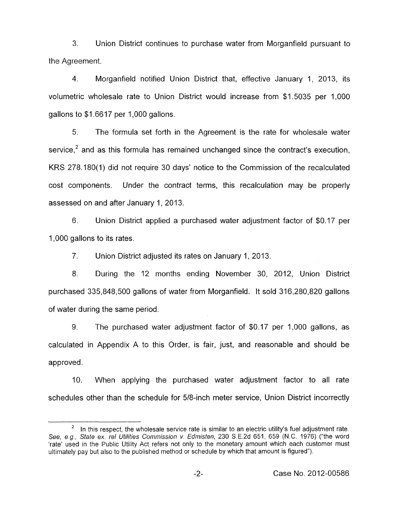**3.** Union District continues to purchase water from Morganfield pursuant to the Agreement.

4. Morganfield notified Union District that, effective January 1, 2013, its volumetric wholesale rate to Union District would increase from \$1.5035 per 1,000 gallons to \$1.6617 per 1,000 gallons.

*5.* The formula set forth in the Agreement is the rate for wholesale water service.<sup>2</sup> and as this formula has remained unchanged since the contract's execution, KRS 278.180(1) did not require 30 days' notice to the Commission of the recalculated cost components. Under the contract terms, this recalculation may be properly assessed on and after January 1, 2013.

6. Union District applied a purchased water adjustment factor of \$0.17 per 1,000 gallons to its rates.

7. Union District adjusted its rates on January 1, 2013.

8. During the 12 months ending November 30, 2012, Union District purchased 335,848,500 gallons of water from Morganfield. It sold 316,280,820 gallons of water during the same period.

9. The purchased water adjustment factor of \$0.17 per 1,000 gallons, as calculated in Appendix A to this Order, is fair, just, and reasonable and should be approved.

IO. When applying the purchased water adjustment factor to all rate schedules other than the schedule for 5/8-inch meter service, Union District incorrectly

In this respect, the wholesale service rate is similar to an electric utility's fuel adjustment rate. *See, e g., State ex. re/ Utilities Commission v Edmisten,* 230 *S* E.2d 651, 659 (N.C. 1976) ("the word 'rate' used in the Public Utility Act refers not only to the monetary amount which each customer must ultimately pay but also to the published method or schedule by which that amount is figured"). **2**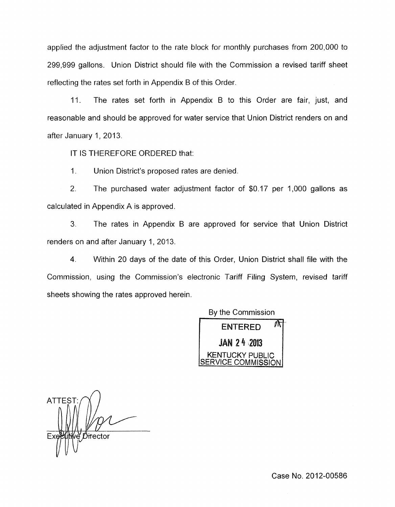applied the adjustment factor to the rate block for monthly purchases from 200,000 to 299,999 gallons. Union District should file with the Commission a revised tariff sheet reflecting the rates set forth in Appendix B of this Order.

11. The rates set forth in Appendix B to this Order are fair, just, and reasonable and should be approved for water service that Union District renders on and after January 1, 2013.

IT IS THEREFORE ORDERED that:

1. Union District's proposed rates are denied.

2. The purchased water adjustment factor of \$0.17 per 1,000 gallons as calculated in Appendix A is approved.

*3.* The rates in Appendix B are approved for service that Union District renders on and after January 1, 2013.

**4.** Within 20 days of the date of this Order, Union District shall file with the Commission, using the Commission's electronic Tariff Filing System, revised tariff sheets showing the rates approved herein.

By the Commission



 $\overline{A}$ **ATTES** Director

Case No. 2012-00586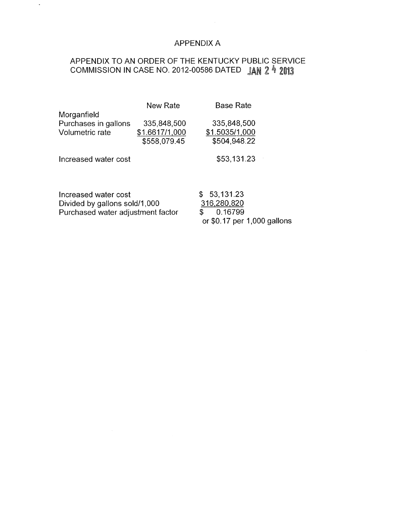### APPENDIX A

# APPENDIX TO AN ORDER OF THE KENTUCKY PUBLIC SERVICE COMMISSION IN CASE NO. 2012-00586 DATED JAN 2 4 2013

 $\ddot{\phantom{a}}$ 

|                                   | New Rate       | <b>Base Rate</b>             |  |
|-----------------------------------|----------------|------------------------------|--|
| Morganfield                       |                |                              |  |
| Purchases in gallons              | 335,848,500    | 335,848,500                  |  |
| Volumetric rate                   | \$1.6617/1,000 | \$1.5035/1,000               |  |
|                                   | \$558,079.45   | \$504,948.22                 |  |
| Increased water cost              |                | \$53,131.23                  |  |
| Increased water cost              |                | \$53,131.23                  |  |
| Divided by gallons sold/1,000     |                | 316,280,820                  |  |
| Purchased water adjustment factor |                | 0.16799<br>\$                |  |
|                                   |                | or $$0.17$ per 1,000 gallons |  |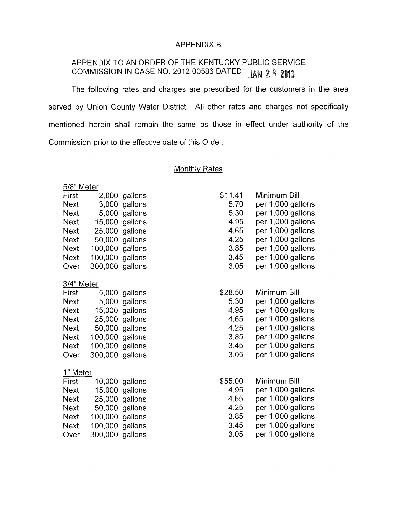#### APPENDIX B

# APPENDIX TO AN ORDER OF THE KENTUCKY PUBLIC SERVICE<br>COMMISSION IN CASE NO. 2012-00586 DATED  $\frac{1}{2}$  and  $\frac{9}{2}$   $\frac{1}{2}$ COMMISSION IN CASE NO. 2012-00586 DATED

The following rates and charges are prescribed for the customers in the area served by Union County Water District. All other rates and charges not specifically mentioned herein shall remain the same as those in effect under authority of the Commission prior to the effective date of this Order.

### **Monthly Rates**

| 5/8" Meter  |                 |                |         |                   |  |  |
|-------------|-----------------|----------------|---------|-------------------|--|--|
| First       |                 | 2,000 gallons  | \$11.41 | Minimum Bill      |  |  |
| <b>Next</b> |                 | 3,000 gallons  | 5.70    | per 1,000 gallons |  |  |
| <b>Next</b> |                 | 5,000 gallons  | 5.30    | per 1,000 gallons |  |  |
| <b>Next</b> |                 | 15,000 gallons | 4.95    | per 1,000 gallons |  |  |
| <b>Next</b> |                 | 25,000 gallons | 4.65    | per 1,000 gallons |  |  |
| <b>Next</b> |                 | 50,000 gallons | 4.25    | per 1,000 gallons |  |  |
| <b>Next</b> | 100,000 gallons |                | 3.85    | per 1,000 gallons |  |  |
| <b>Next</b> | 100,000 gallons |                | 3.45    | per 1,000 gallons |  |  |
| Over        | 300,000 gallons |                | 3.05    | per 1,000 gallons |  |  |
|             |                 |                |         |                   |  |  |
| 3/4" Meter  |                 |                |         |                   |  |  |
| First       |                 | 5,000 gallons  | \$28.50 | Minimum Bill      |  |  |
| <b>Next</b> |                 | 5,000 gallons  | 5.30    | per 1,000 gallons |  |  |
| <b>Next</b> |                 | 15,000 gallons | 4.95    | per 1,000 gallons |  |  |
| <b>Next</b> | 25,000 gallons  |                | 4.65    | per 1,000 gallons |  |  |
| <b>Next</b> |                 | 50,000 gallons | 4.25    | per 1,000 gallons |  |  |
| <b>Next</b> | 100,000 gallons |                | 3.85    | per 1,000 gallons |  |  |
| <b>Next</b> | 100,000 gallons |                | 3.45    | per 1,000 gallons |  |  |
| Over        | 300,000 gallons |                | 3.05    | per 1,000 gallons |  |  |
|             |                 |                |         |                   |  |  |
| 1" Meter    |                 |                |         |                   |  |  |
| First       |                 | 10,000 gallons | \$55.00 | Minimum Bill      |  |  |
| <b>Next</b> |                 | 15,000 gallons | 4.95    | per 1,000 gallons |  |  |
| <b>Next</b> |                 | 25,000 gallons | 4.65    | per 1,000 gallons |  |  |
| <b>Next</b> |                 | 50,000 gallons | 4.25    | per 1,000 gallons |  |  |
| <b>Next</b> | 100,000 gallons |                | 3.85    | per 1,000 gallons |  |  |
| <b>Next</b> | 100,000 gallons |                | 3.45    | per 1,000 gallons |  |  |
| Over        | 300,000 gallons |                | 3.05    | per 1,000 gallons |  |  |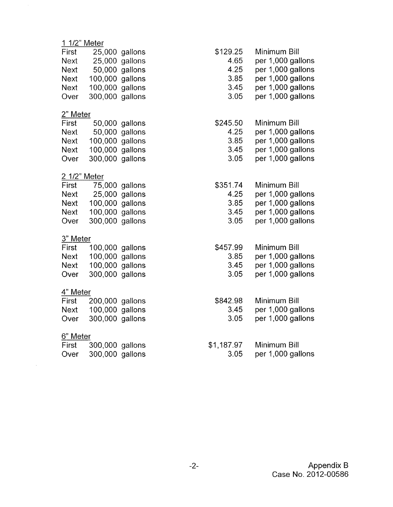| 1 1/2" Meter |         |                                                                                                                                                                                                                                                                                                                                                                                                                                                                            |                                                          |
|--------------|---------|----------------------------------------------------------------------------------------------------------------------------------------------------------------------------------------------------------------------------------------------------------------------------------------------------------------------------------------------------------------------------------------------------------------------------------------------------------------------------|----------------------------------------------------------|
|              |         | \$129.25                                                                                                                                                                                                                                                                                                                                                                                                                                                                   | Minimum Bill                                             |
|              |         | 4.65                                                                                                                                                                                                                                                                                                                                                                                                                                                                       | per 1,000 gallons                                        |
|              | gallons | 4.25                                                                                                                                                                                                                                                                                                                                                                                                                                                                       | per 1,000 gallons                                        |
|              |         | 3.85                                                                                                                                                                                                                                                                                                                                                                                                                                                                       | per 1,000 gallons                                        |
|              |         | 3.45                                                                                                                                                                                                                                                                                                                                                                                                                                                                       | per 1,000 gallons                                        |
|              |         | 3.05                                                                                                                                                                                                                                                                                                                                                                                                                                                                       | per 1,000 gallons                                        |
| 2" Meter     |         |                                                                                                                                                                                                                                                                                                                                                                                                                                                                            |                                                          |
|              |         | \$245.50                                                                                                                                                                                                                                                                                                                                                                                                                                                                   | Minimum Bill                                             |
|              |         | 4.25                                                                                                                                                                                                                                                                                                                                                                                                                                                                       | per 1,000 gallons                                        |
|              |         |                                                                                                                                                                                                                                                                                                                                                                                                                                                                            | per 1,000 gallons                                        |
|              |         | 3.45                                                                                                                                                                                                                                                                                                                                                                                                                                                                       | per 1,000 gallons                                        |
|              |         | 3.05                                                                                                                                                                                                                                                                                                                                                                                                                                                                       | per 1,000 gallons                                        |
| 2 1/2" Meter |         |                                                                                                                                                                                                                                                                                                                                                                                                                                                                            |                                                          |
|              |         | \$351.74                                                                                                                                                                                                                                                                                                                                                                                                                                                                   | Minimum Bill                                             |
|              |         | 4.25                                                                                                                                                                                                                                                                                                                                                                                                                                                                       | per 1,000 gallons                                        |
|              |         | 3.85                                                                                                                                                                                                                                                                                                                                                                                                                                                                       | per 1,000 gallons                                        |
|              |         | 3.45                                                                                                                                                                                                                                                                                                                                                                                                                                                                       | per 1,000 gallons                                        |
|              |         | 3.05                                                                                                                                                                                                                                                                                                                                                                                                                                                                       | per 1,000 gallons                                        |
| 3" Meter     |         |                                                                                                                                                                                                                                                                                                                                                                                                                                                                            |                                                          |
|              |         | \$457.99                                                                                                                                                                                                                                                                                                                                                                                                                                                                   | Minimum Bill                                             |
|              |         |                                                                                                                                                                                                                                                                                                                                                                                                                                                                            | per 1,000 gallons                                        |
|              |         |                                                                                                                                                                                                                                                                                                                                                                                                                                                                            | per 1,000 gallons                                        |
|              |         |                                                                                                                                                                                                                                                                                                                                                                                                                                                                            | per 1,000 gallons                                        |
| 4" Meter     |         |                                                                                                                                                                                                                                                                                                                                                                                                                                                                            |                                                          |
|              |         |                                                                                                                                                                                                                                                                                                                                                                                                                                                                            | Minimum Bill                                             |
|              |         |                                                                                                                                                                                                                                                                                                                                                                                                                                                                            | per 1,000 gallons                                        |
|              |         |                                                                                                                                                                                                                                                                                                                                                                                                                                                                            | per 1,000 gallons                                        |
| 6" Meter     |         |                                                                                                                                                                                                                                                                                                                                                                                                                                                                            |                                                          |
|              |         | \$1,187.97                                                                                                                                                                                                                                                                                                                                                                                                                                                                 | Minimum Bill                                             |
|              |         | 3.05                                                                                                                                                                                                                                                                                                                                                                                                                                                                       | per 1,000 gallons                                        |
|              |         | 25,000 gallons<br>$25,000$ gallons<br>50,000<br>100,000 gallons<br>100,000 gallons<br>300,000 gallons<br>50,000 gallons<br>50,000 gallons<br>100,000 gallons<br>100,000 gallons<br>300,000 gallons<br>75,000 gallons<br>25,000 gallons<br>100,000 gallons<br>100,000 gallons<br>300,000 gallons<br>100,000 gallons<br>100,000 gallons<br>100,000 gallons<br>300,000 gallons<br>200,000 gallons<br>100,000 gallons<br>300,000 gallons<br>300,000 gallons<br>300,000 gallons | 3.85<br>3.85<br>3.45<br>3.05<br>\$842.98<br>3.45<br>3.05 |

 $\sim 10$